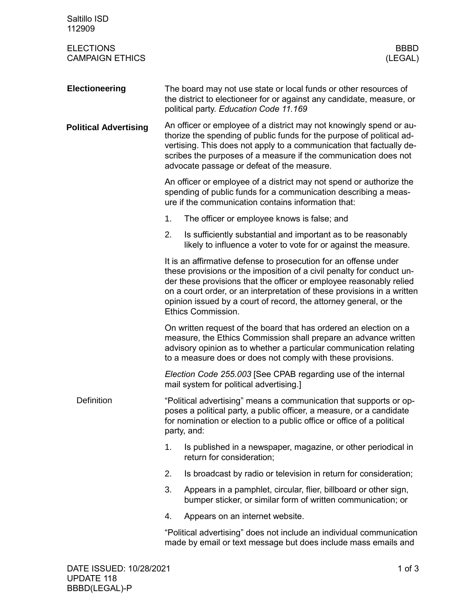| Saltillo ISD<br>112909                     |                                                                                                                                                                                                                                                                                                                                                                                        |  |  |  |  |
|--------------------------------------------|----------------------------------------------------------------------------------------------------------------------------------------------------------------------------------------------------------------------------------------------------------------------------------------------------------------------------------------------------------------------------------------|--|--|--|--|
| <b>ELECTIONS</b><br><b>CAMPAIGN ETHICS</b> | <b>BBBD</b><br>(LEGAL)                                                                                                                                                                                                                                                                                                                                                                 |  |  |  |  |
| <b>Electioneering</b>                      | The board may not use state or local funds or other resources of<br>the district to electioneer for or against any candidate, measure, or<br>political party. Education Code 11.169                                                                                                                                                                                                    |  |  |  |  |
| <b>Political Advertising</b>               | An officer or employee of a district may not knowingly spend or au-<br>thorize the spending of public funds for the purpose of political ad-<br>vertising. This does not apply to a communication that factually de-<br>scribes the purposes of a measure if the communication does not<br>advocate passage or defeat of the measure.                                                  |  |  |  |  |
|                                            | An officer or employee of a district may not spend or authorize the<br>spending of public funds for a communication describing a meas-<br>ure if the communication contains information that:                                                                                                                                                                                          |  |  |  |  |
|                                            | 1.<br>The officer or employee knows is false; and                                                                                                                                                                                                                                                                                                                                      |  |  |  |  |
|                                            | 2.<br>Is sufficiently substantial and important as to be reasonably<br>likely to influence a voter to vote for or against the measure.                                                                                                                                                                                                                                                 |  |  |  |  |
|                                            | It is an affirmative defense to prosecution for an offense under<br>these provisions or the imposition of a civil penalty for conduct un-<br>der these provisions that the officer or employee reasonably relied<br>on a court order, or an interpretation of these provisions in a written<br>opinion issued by a court of record, the attorney general, or the<br>Ethics Commission. |  |  |  |  |
|                                            | On written request of the board that has ordered an election on a<br>measure, the Ethics Commission shall prepare an advance written<br>advisory opinion as to whether a particular communication relating<br>to a measure does or does not comply with these provisions.                                                                                                              |  |  |  |  |
|                                            | Election Code 255.003 [See CPAB regarding use of the internal<br>mail system for political advertising.]                                                                                                                                                                                                                                                                               |  |  |  |  |
| <b>Definition</b>                          | "Political advertising" means a communication that supports or op-<br>poses a political party, a public officer, a measure, or a candidate<br>for nomination or election to a public office or office of a political<br>party, and:                                                                                                                                                    |  |  |  |  |
|                                            | 1.<br>Is published in a newspaper, magazine, or other periodical in<br>return for consideration;                                                                                                                                                                                                                                                                                       |  |  |  |  |
|                                            | Is broadcast by radio or television in return for consideration;<br>2.                                                                                                                                                                                                                                                                                                                 |  |  |  |  |
|                                            | 3.<br>Appears in a pamphlet, circular, flier, billboard or other sign,<br>bumper sticker, or similar form of written communication; or                                                                                                                                                                                                                                                 |  |  |  |  |
|                                            | Appears on an internet website.<br>4.                                                                                                                                                                                                                                                                                                                                                  |  |  |  |  |
|                                            | "Political advertising" does not include an individual communication<br>made by email or text message but does include mass emails and                                                                                                                                                                                                                                                 |  |  |  |  |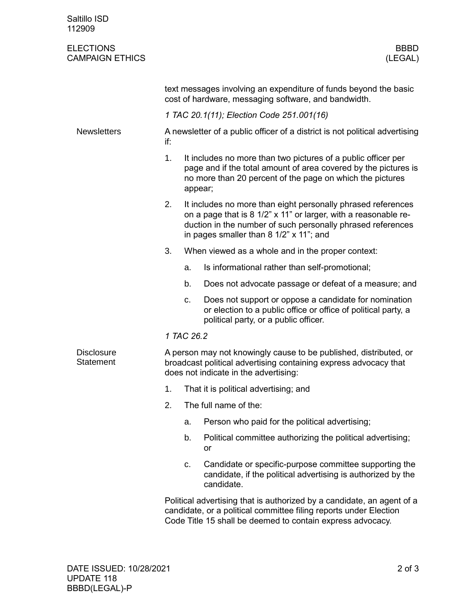| Saltillo ISD<br>112909                     |                                                                                                                                                                                |                                                                                                                                                                                                                                           |                                                                                                                                                                                                           |  |  |
|--------------------------------------------|--------------------------------------------------------------------------------------------------------------------------------------------------------------------------------|-------------------------------------------------------------------------------------------------------------------------------------------------------------------------------------------------------------------------------------------|-----------------------------------------------------------------------------------------------------------------------------------------------------------------------------------------------------------|--|--|
| <b>ELECTIONS</b><br><b>CAMPAIGN ETHICS</b> |                                                                                                                                                                                |                                                                                                                                                                                                                                           | <b>BBBD</b><br>(LEGAL)                                                                                                                                                                                    |  |  |
|                                            | text messages involving an expenditure of funds beyond the basic<br>cost of hardware, messaging software, and bandwidth.                                                       |                                                                                                                                                                                                                                           |                                                                                                                                                                                                           |  |  |
|                                            | 1 TAC 20.1(11); Election Code 251.001(16)                                                                                                                                      |                                                                                                                                                                                                                                           |                                                                                                                                                                                                           |  |  |
| <b>Newsletters</b>                         | A newsletter of a public officer of a district is not political advertising<br>if:                                                                                             |                                                                                                                                                                                                                                           |                                                                                                                                                                                                           |  |  |
|                                            | 1.                                                                                                                                                                             | It includes no more than two pictures of a public officer per<br>page and if the total amount of area covered by the pictures is<br>no more than 20 percent of the page on which the pictures<br>appear;                                  |                                                                                                                                                                                                           |  |  |
|                                            | 2.                                                                                                                                                                             | It includes no more than eight personally phrased references<br>on a page that is 8 1/2" x 11" or larger, with a reasonable re-<br>duction in the number of such personally phrased references<br>in pages smaller than 8 1/2" x 11"; and |                                                                                                                                                                                                           |  |  |
|                                            | 3.                                                                                                                                                                             |                                                                                                                                                                                                                                           | When viewed as a whole and in the proper context:                                                                                                                                                         |  |  |
|                                            |                                                                                                                                                                                | a.                                                                                                                                                                                                                                        | Is informational rather than self-promotional;                                                                                                                                                            |  |  |
|                                            |                                                                                                                                                                                | b.                                                                                                                                                                                                                                        | Does not advocate passage or defeat of a measure; and                                                                                                                                                     |  |  |
|                                            |                                                                                                                                                                                | c.                                                                                                                                                                                                                                        | Does not support or oppose a candidate for nomination<br>or election to a public office or office of political party, a<br>political party, or a public officer.                                          |  |  |
|                                            | 1 TAC 26.2                                                                                                                                                                     |                                                                                                                                                                                                                                           |                                                                                                                                                                                                           |  |  |
| <b>Disclosure</b><br><b>Statement</b>      | A person may not knowingly cause to be published, distributed, or<br>broadcast political advertising containing express advocacy that<br>does not indicate in the advertising: |                                                                                                                                                                                                                                           |                                                                                                                                                                                                           |  |  |
|                                            | 1.                                                                                                                                                                             |                                                                                                                                                                                                                                           | That it is political advertising; and                                                                                                                                                                     |  |  |
|                                            | 2.                                                                                                                                                                             |                                                                                                                                                                                                                                           | The full name of the:                                                                                                                                                                                     |  |  |
|                                            |                                                                                                                                                                                | a.                                                                                                                                                                                                                                        | Person who paid for the political advertising;                                                                                                                                                            |  |  |
|                                            |                                                                                                                                                                                | b.                                                                                                                                                                                                                                        | Political committee authorizing the political advertising;<br>or                                                                                                                                          |  |  |
|                                            |                                                                                                                                                                                | C.                                                                                                                                                                                                                                        | Candidate or specific-purpose committee supporting the<br>candidate, if the political advertising is authorized by the<br>candidate.                                                                      |  |  |
|                                            |                                                                                                                                                                                |                                                                                                                                                                                                                                           | Political advertising that is authorized by a candidate, an agent of a<br>candidate, or a political committee filing reports under Election<br>Code Title 15 shall be deemed to contain express advocacy. |  |  |